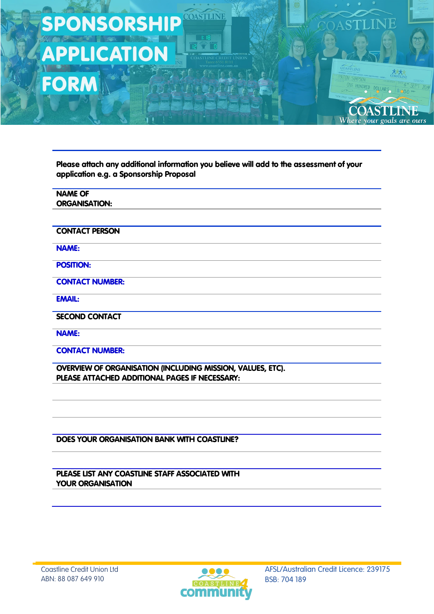Please attach any additional information you believe will add to the assessment of your application e.g. a Sponsorship Proposal

COASTLINE

| <b>NAME OF</b>                                             |
|------------------------------------------------------------|
| <b>ORGANISATION:</b>                                       |
|                                                            |
| <b>CONTACT PERSON</b>                                      |
| <b>NAME:</b>                                               |
| <b>POSITION:</b>                                           |
| <b>CONTACT NUMBER:</b>                                     |
| <b>EMAIL:</b>                                              |
| <b>SECOND CONTACT</b>                                      |
| <b>NAME:</b>                                               |
| <b>CONTACT NUMBER:</b>                                     |
| OVERVIEW OF ORGANISATION (INCLUDING MISSION, VALUES, ETC). |
| PLEASE ATTACHED ADDITIONAL PAGES IF NECESSARY:             |
|                                                            |
|                                                            |
|                                                            |

DOES YOUR ORGANISATION BANK WITH COASTLINE?

PLEASE LIST ANY COASTLINE STAFF ASSOCIATED WITH YOUR ORGANISATION



© 2019 Coastline Credit Union Ltd AFSL/Australian Credit Licence: 239175

Ή

**ANTI** 

INE

goals are ours

PATON SIMPSO

Where

DRED DOLLARS

**OAST**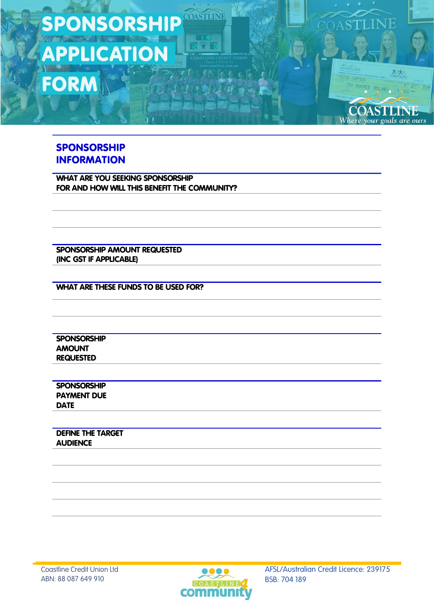### SPONSORSHIP INFORMATION

WHAT ARE YOU SEEKING SPONSORSHIP FOR AND HOW WILL THIS BENEFIT THE COMMUNITY?

COASTLINE

SPONSORSHIP AMOUNT REQUESTED (INC GST IF APPLICABLE)

WHAT ARE THESE FUNDS TO BE USED FOR?

**SPONSORSHIP** AMOUNT REQUESTED

**SPONSORSHIP** PAYMENT DUE DATE

DEFINE THE TARGET **AUDIENCE** 



© 2019 Coastline Credit Union Ltd AFSL/Australian Credit Licence: 239175

JF

COASTLINI

 $SADO$ 

**ATON SIMPSON** 

HUNDRED DOLLARS

**COASTLINE** Where your goals are ours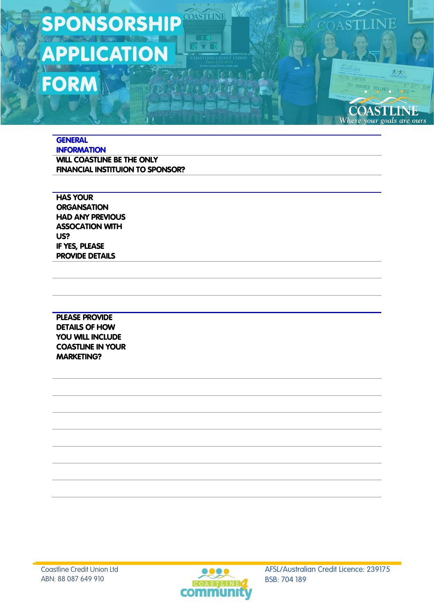COASTLINE

**GENERAL INFORMATION** WILL COASTLINE BE THE ONLY FINANCIAL INSTITUION TO SPONSOR?

HAS YOUR **ORGANSATION** HAD ANY PREVIOUS ASSOCATION WITH US? IF YES, PLEASE PROVIDE DETAILS

PLEASE PROVIDE DETAILS OF HOW YOU WILL INCLUDE COASTLINE IN YOUR MARKETING?



© 2019 Coastline Credit Union Ltd AFSL/Australian Credit Licence: 239175

STI INE

HUNDRED DOLLARS

**COASTLINE** Where your goals are ours

PATON SIMPSON

COASTLINI

 $SADO$ 

PT 2019